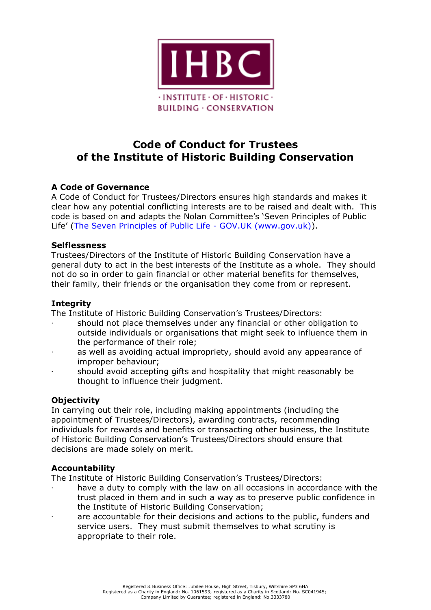

## **Code of Conduct for Trustees of the Institute of Historic Building Conservation**

## **A Code of Governance**

A Code of Conduct for Trustees/Directors ensures high standards and makes it clear how any potential conflicting interests are to be raised and dealt with. This code is based on and adapts the Nolan Committee's 'Seven Principles of Public Life' [\(The Seven Principles of Public Life -](https://www.gov.uk/government/publications/the-7-principles-of-public-life/the-7-principles-of-public-life--2) GOV.UK (www.gov.uk)).

### **Selflessness**

Trustees/Directors of the Institute of Historic Building Conservation have a general duty to act in the best interests of the Institute as a whole. They should not do so in order to gain financial or other material benefits for themselves, their family, their friends or the organisation they come from or represent.

## **Integrity**

The Institute of Historic Building Conservation's Trustees/Directors:

- · should not place themselves under any financial or other obligation to outside individuals or organisations that might seek to influence them in the performance of their role;
- as well as avoiding actual impropriety, should avoid any appearance of improper behaviour;
- · should avoid accepting gifts and hospitality that might reasonably be thought to influence their judgment.

## **Objectivity**

In carrying out their role, including making appointments (including the appointment of Trustees/Directors), awarding contracts, recommending individuals for rewards and benefits or transacting other business, the Institute of Historic Building Conservation's Trustees/Directors should ensure that decisions are made solely on merit.

## **Accountability**

The Institute of Historic Building Conservation's Trustees/Directors:

- have a duty to comply with the law on all occasions in accordance with the trust placed in them and in such a way as to preserve public confidence in the Institute of Historic Building Conservation;
- are accountable for their decisions and actions to the public, funders and service users. They must submit themselves to what scrutiny is appropriate to their role.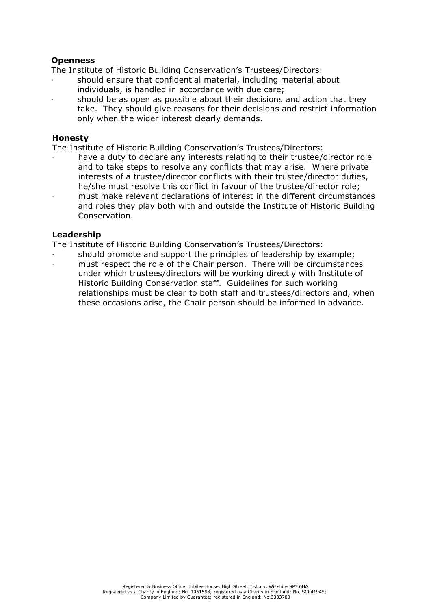### **Openness**

The Institute of Historic Building Conservation's Trustees/Directors:

- · should ensure that confidential material, including material about individuals, is handled in accordance with due care;
- should be as open as possible about their decisions and action that they take. They should give reasons for their decisions and restrict information only when the wider interest clearly demands.

#### **Honesty**

The Institute of Historic Building Conservation's Trustees/Directors:

have a duty to declare any interests relating to their trustee/director role and to take steps to resolve any conflicts that may arise. Where private interests of a trustee/director conflicts with their trustee/director duties, he/she must resolve this conflict in favour of the trustee/director role; · must make relevant declarations of interest in the different circumstances and roles they play both with and outside the Institute of Historic Building Conservation.

### **Leadership**

The Institute of Historic Building Conservation's Trustees/Directors:

· should promote and support the principles of leadership by example; must respect the role of the Chair person. There will be circumstances under which trustees/directors will be working directly with Institute of Historic Building Conservation staff. Guidelines for such working relationships must be clear to both staff and trustees/directors and, when these occasions arise, the Chair person should be informed in advance.